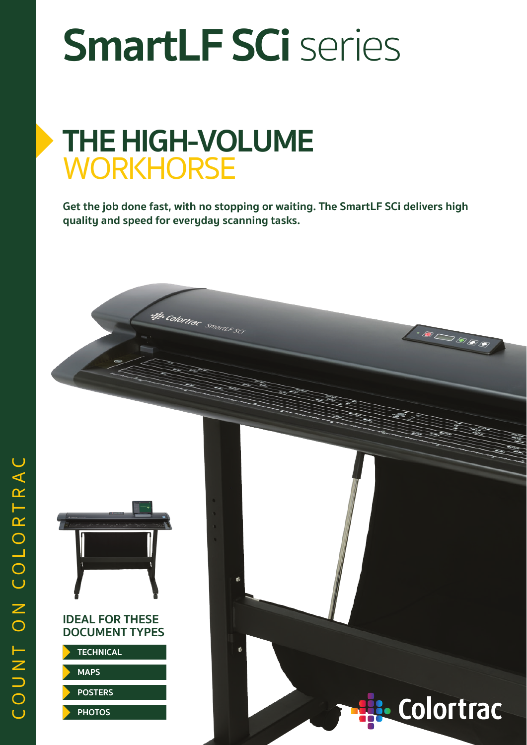# **SmartLF SCi** series

### **THE HIGH-VOLUME WORKHORSE**

ntje Colortiae smanus sei

**Get the job done fast, with no stopping or waiting. The SmartLF SCi delivers high quality and speed for everyday scanning tasks.**



#### **IDEAL FOR THESE DOCUMENT TYPES**

**TECHNICAL**

**MAPS**

**POSTERS**

**PHOTOS**



 $\cdot \text{D} \bigcirc \text{D} \text{D} \text{D} \text{D}$